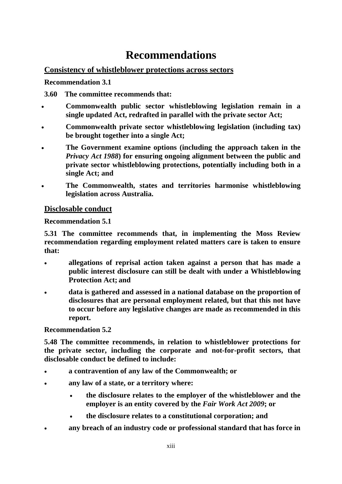# **Recommendations**

# **Consistency of whistleblower protections across sectors**

**Recommendation 3.1**

**3.60 The committee recommends that:**

- **Commonwealth public sector whistleblowing legislation remain in a single updated Act, redrafted in parallel with the private sector Act;**
- **Commonwealth private sector whistleblowing legislation (including tax) be brought together into a single Act;**
- **The Government examine options (including the approach taken in the**  *Privacy Act 1988***) for ensuring ongoing alignment between the public and private sector whistleblowing protections, potentially including both in a single Act; and**
- **The Commonwealth, states and territories harmonise whistleblowing legislation across Australia.**

# **Disclosable conduct**

## **Recommendation 5.1**

**5.31 The committee recommends that, in implementing the Moss Review recommendation regarding employment related matters care is taken to ensure that:**

- **allegations of reprisal action taken against a person that has made a public interest disclosure can still be dealt with under a Whistleblowing Protection Act; and**
- **data is gathered and assessed in a national database on the proportion of disclosures that are personal employment related, but that this not have to occur before any legislative changes are made as recommended in this report.**

## **Recommendation 5.2**

**5.48 The committee recommends, in relation to whistleblower protections for the private sector, including the corporate and not-for-profit sectors, that disclosable conduct be defined to include:** 

- **a contravention of any law of the Commonwealth; or**
- **any law of a state, or a territory where:**
	- **the disclosure relates to the employer of the whistleblower and the employer is an entity covered by the** *Fair Work Act 2009***; or**
	- **the disclosure relates to a constitutional corporation; and**
- **any breach of an industry code or professional standard that has force in**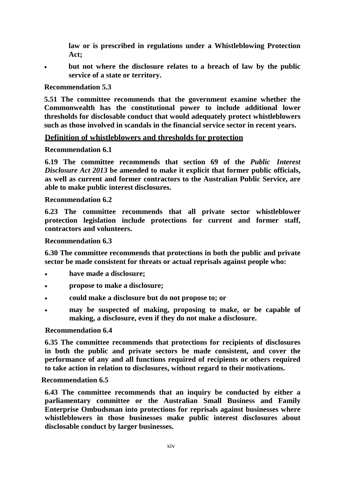**law or is prescribed in regulations under a Whistleblowing Protection Act;**

• **but not where the disclosure relates to a breach of law by the public service of a state or territory.**

## **Recommendation 5.3**

**5.51 The committee recommends that the government examine whether the Commonwealth has the constitutional power to include additional lower thresholds for disclosable conduct that would adequately protect whistleblowers such as those involved in scandals in the financial service sector in recent years.**

## **Definition of whistleblowers and thresholds for protection**

## **Recommendation 6.1**

**6.19 The committee recommends that section 69 of the** *Public Interest Disclosure Act 2013* **be amended to make it explicit that former public officials, as well as current and former contractors to the Australian Public Service, are able to make public interest disclosures.**

## **Recommendation 6.2**

**6.23 The committee recommends that all private sector whistleblower protection legislation include protections for current and former staff, contractors and volunteers.**

#### **Recommendation 6.3**

**6.30 The committee recommends that protections in both the public and private sector be made consistent for threats or actual reprisals against people who:**

- **have made a disclosure;**
- **propose to make a disclosure;**
- **could make a disclosure but do not propose to; or**
- **may be suspected of making, proposing to make, or be capable of making, a disclosure, even if they do not make a disclosure.**

## **Recommendation 6.4**

**6.35 The committee recommends that protections for recipients of disclosures in both the public and private sectors be made consistent, and cover the performance of any and all functions required of recipients or others required to take action in relation to disclosures, without regard to their motivations.**

## **Recommendation 6.5**

**6.43 The committee recommends that an inquiry be conducted by either a parliamentary committee or the Australian Small Business and Family Enterprise Ombudsman into protections for reprisals against businesses where whistleblowers in those businesses make public interest disclosures about disclosable conduct by larger businesses.**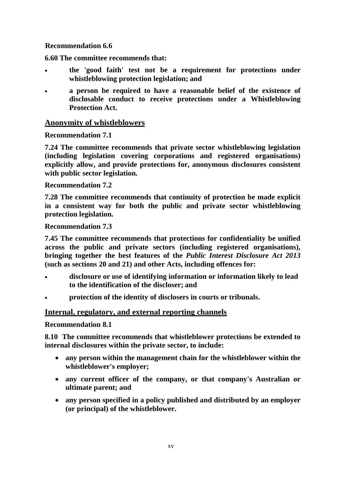## **Recommendation 6.6**

**6.60 The committee recommends that:**

- **the 'good faith' test not be a requirement for protections under whistleblowing protection legislation; and**
- **a person be required to have a reasonable belief of the existence of disclosable conduct to receive protections under a Whistleblowing Protection Act.**

## **Anonymity of whistleblowers**

## **Recommendation 7.1**

**7.24 The committee recommends that private sector whistleblowing legislation (including legislation covering corporations and registered organisations) explicitly allow, and provide protections for, anonymous disclosures consistent with public sector legislation.**

## **Recommendation 7.2**

**7.28 The committee recommends that continuity of protection be made explicit in a consistent way for both the public and private sector whistleblowing protection legislation.**

## **Recommendation 7.3**

**7.45 The committee recommends that protections for confidentiality be unified across the public and private sectors (including registered organisations), bringing together the best features of the** *Public Interest Disclosure Act 2013* **(such as sections 20 and 21) and other Acts, including offences for:**

- **disclosure or use of identifying information or information likely to lead to the identification of the discloser; and**
- **protection of the identity of disclosers in courts or tribunals.**

# **Internal, regulatory, and external reporting channels**

## **Recommendation 8.1**

**8.10 The committee recommends that whistleblower protections be extended to internal disclosures within the private sector, to include:**

- **any person within the management chain for the whistleblower within the whistleblower's employer;**
- **any current officer of the company, or that company's Australian or ultimate parent; and**
- **any person specified in a policy published and distributed by an employer (or principal) of the whistleblower.**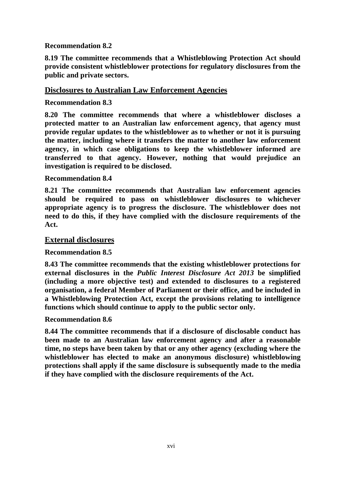## **Recommendation 8.2**

**8.19 The committee recommends that a Whistleblowing Protection Act should provide consistent whistleblower protections for regulatory disclosures from the public and private sectors.**

#### **Disclosures to Australian Law Enforcement Agencies**

#### **Recommendation 8.3**

**8.20 The committee recommends that where a whistleblower discloses a protected matter to an Australian law enforcement agency, that agency must provide regular updates to the whistleblower as to whether or not it is pursuing the matter, including where it transfers the matter to another law enforcement agency, in which case obligations to keep the whistleblower informed are transferred to that agency. However, nothing that would prejudice an investigation is required to be disclosed.**

#### **Recommendation 8.4**

**8.21 The committee recommends that Australian law enforcement agencies should be required to pass on whistleblower disclosures to whichever appropriate agency is to progress the disclosure. The whistleblower does not need to do this, if they have complied with the disclosure requirements of the Act.**

#### **External disclosures**

#### **Recommendation 8.5**

**8.43 The committee recommends that the existing whistleblower protections for external disclosures in the** *Public Interest Disclosure Act 2013* **be simplified (including a more objective test) and extended to disclosures to a registered organisation, a federal Member of Parliament or their office, and be included in a Whistleblowing Protection Act, except the provisions relating to intelligence functions which should continue to apply to the public sector only.**

#### **Recommendation 8.6**

**8.44 The committee recommends that if a disclosure of disclosable conduct has been made to an Australian law enforcement agency and after a reasonable time, no steps have been taken by that or any other agency (excluding where the whistleblower has elected to make an anonymous disclosure) whistleblowing protections shall apply if the same disclosure is subsequently made to the media if they have complied with the disclosure requirements of the Act.**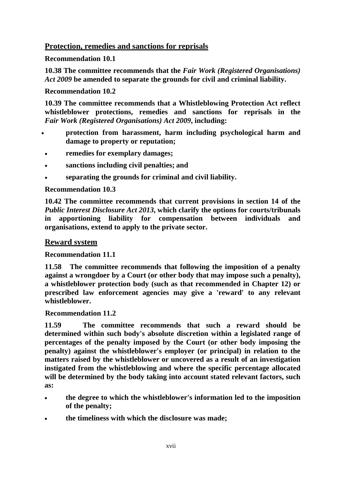# **Protection, remedies and sanctions for reprisals**

## **Recommendation 10.1**

**10.38 The committee recommends that the** *Fair Work (Registered Organisations) Act 2009* **be amended to separate the grounds for civil and criminal liability.**

## **Recommendation 10.2**

**10.39 The committee recommends that a Whistleblowing Protection Act reflect whistleblower protections, remedies and sanctions for reprisals in the**  *Fair Work (Registered Organisations) Act 2009***, including:**

- **protection from harassment, harm including psychological harm and damage to property or reputation;**
- **remedies for exemplary damages;**
- **sanctions including civil penalties; and**
- **separating the grounds for criminal and civil liability.**

# **Recommendation 10.3**

**10.42 The committee recommends that current provisions in section 14 of the**  *Public Interest Disclosure Act 2013***, which clarify the options for courts/tribunals in apportioning liability for compensation between individuals and organisations, extend to apply to the private sector.**

# **Reward system**

# **Recommendation 11.1**

**11.58 The committee recommends that following the imposition of a penalty against a wrongdoer by a Court (or other body that may impose such a penalty), a whistleblower protection body (such as that recommended in Chapter 12) or prescribed law enforcement agencies may give a 'reward' to any relevant whistleblower.**

## **Recommendation 11.2**

**11.59 The committee recommends that such a reward should be determined within such body's absolute discretion within a legislated range of percentages of the penalty imposed by the Court (or other body imposing the penalty) against the whistleblower's employer (or principal) in relation to the matters raised by the whistleblower or uncovered as a result of an investigation instigated from the whistleblowing and where the specific percentage allocated will be determined by the body taking into account stated relevant factors, such as:**

- **the degree to which the whistleblower's information led to the imposition of the penalty;**
- **the timeliness with which the disclosure was made;**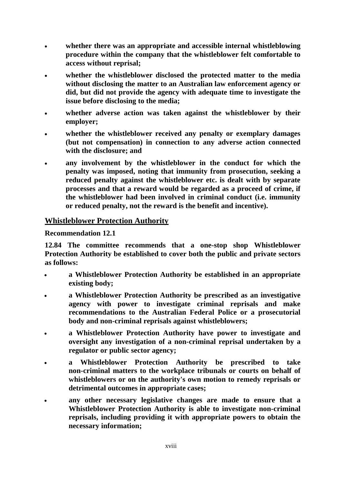- **whether there was an appropriate and accessible internal whistleblowing procedure within the company that the whistleblower felt comfortable to access without reprisal;**
- **whether the whistleblower disclosed the protected matter to the media without disclosing the matter to an Australian law enforcement agency or did, but did not provide the agency with adequate time to investigate the issue before disclosing to the media;**
- **whether adverse action was taken against the whistleblower by their employer;**
- **whether the whistleblower received any penalty or exemplary damages (but not compensation) in connection to any adverse action connected with the disclosure; and**
- any involvement by the whistleblower in the conduct for which the **penalty was imposed, noting that immunity from prosecution, seeking a reduced penalty against the whistleblower etc. is dealt with by separate processes and that a reward would be regarded as a proceed of crime, if the whistleblower had been involved in criminal conduct (i.e. immunity or reduced penalty, not the reward is the benefit and incentive).**

## **Whistleblower Protection Authority**

**Recommendation 12.1**

**12.84 The committee recommends that a one-stop shop Whistleblower Protection Authority be established to cover both the public and private sectors as follows:**

- **a Whistleblower Protection Authority be established in an appropriate existing body;**
- **a Whistleblower Protection Authority be prescribed as an investigative agency with power to investigate criminal reprisals and make recommendations to the Australian Federal Police or a prosecutorial body and non-criminal reprisals against whistleblowers;**
- **a Whistleblower Protection Authority have power to investigate and oversight any investigation of a non-criminal reprisal undertaken by a regulator or public sector agency;**
- **a Whistleblower Protection Authority be prescribed to take non-criminal matters to the workplace tribunals or courts on behalf of whistleblowers or on the authority's own motion to remedy reprisals or detrimental outcomes in appropriate cases;**
- **any other necessary legislative changes are made to ensure that a Whistleblower Protection Authority is able to investigate non-criminal reprisals, including providing it with appropriate powers to obtain the necessary information;**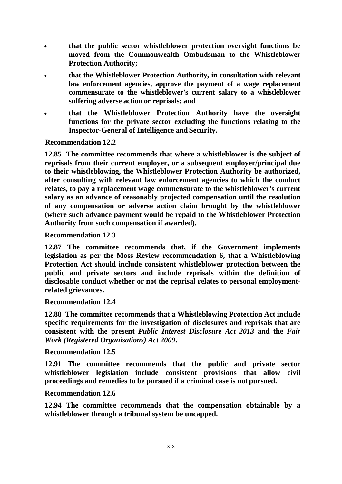- **that the public sector whistleblower protection oversight functions be moved from the Commonwealth Ombudsman to the Whistleblower Protection Authority;**
- **that the Whistleblower Protection Authority, in consultation with relevant law enforcement agencies, approve the payment of a wage replacement commensurate to the whistleblower's current salary to a whistleblower suffering adverse action or reprisals; and**
- **that the Whistleblower Protection Authority have the oversight functions for the private sector excluding the functions relating to the Inspector-General of Intelligence and Security.**

 **Recommendation 12.2**

**12.85 The committee recommends that where a whistleblower is the subject of reprisals from their current employer, or a subsequent employer/principal due to their whistleblowing, the Whistleblower Protection Authority be authorized, after consulting with relevant law enforcement agencies to which the conduct relates, to pay a replacement wage commensurate to the whistleblower's current salary as an advance of reasonably projected compensation until the resolution of any compensation or adverse action claim brought by the whistleblower (where such advance payment would be repaid to the Whistleblower Protection Authority from such compensation if awarded).**

#### **Recommendation 12.3**

**12.87 The committee recommends that, if the Government implements legislation as per the Moss Review recommendation 6, that a Whistleblowing Protection Act should include consistent whistleblower protection between the public and private sectors and include reprisals within the definition of disclosable conduct whether or not the reprisal relates to personal employmentrelated grievances.**

**Recommendation 12.4**

**12.88 The committee recommends that a Whistleblowing Protection Act include specific requirements for the investigation of disclosures and reprisals that are consistent with the present** *Public Interest Disclosure Act 2013* **and the** *Fair Work (Registered Organisations) Act 2009***.**

#### **Recommendation 12.5**

**12.91 The committee recommends that the public and private sector whistleblower legislation include consistent provisions that allow civil proceedings and remedies to be pursued if a criminal case is not pursued.**

#### **Recommendation 12.6**

**12.94 The committee recommends that the compensation obtainable by a whistleblower through a tribunal system be uncapped.**